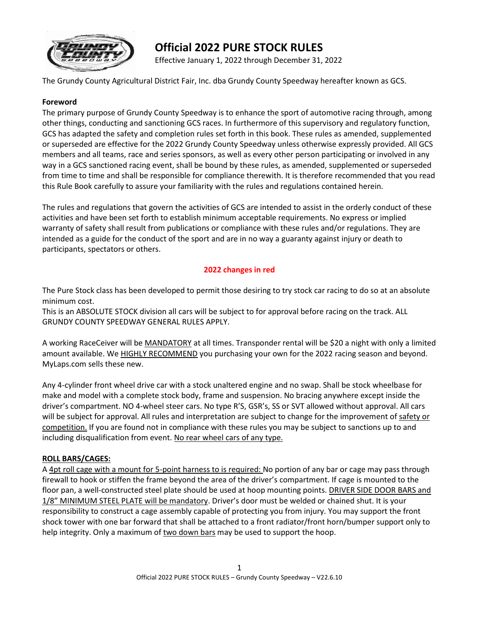

# **Official 2022 PURE STOCK RULES**

Effective January 1, 2022 through December 31, 2022

The Grundy County Agricultural District Fair, Inc. dba Grundy County Speedway hereafter known as GCS.

#### **Foreword**

The primary purpose of Grundy County Speedway is to enhance the sport of automotive racing through, among other things, conducting and sanctioning GCS races. In furthermore of this supervisory and regulatory function, GCS has adapted the safety and completion rules set forth in this book. These rules as amended, supplemented or superseded are effective for the 2022 Grundy County Speedway unless otherwise expressly provided. All GCS members and all teams, race and series sponsors, as well as every other person participating or involved in any way in a GCS sanctioned racing event, shall be bound by these rules, as amended, supplemented or superseded from time to time and shall be responsible for compliance therewith. It is therefore recommended that you read this Rule Book carefully to assure your familiarity with the rules and regulations contained herein.

The rules and regulations that govern the activities of GCS are intended to assist in the orderly conduct of these activities and have been set forth to establish minimum acceptable requirements. No express or implied warranty of safety shall result from publications or compliance with these rules and/or regulations. They are intended as a guide for the conduct of the sport and are in no way a guaranty against injury or death to participants, spectators or others.

# **2022 changes in red**

The Pure Stock class has been developed to permit those desiring to try stock car racing to do so at an absolute minimum cost.

This is an ABSOLUTE STOCK division all cars will be subject to for approval before racing on the track. ALL GRUNDY COUNTY SPEEDWAY GENERAL RULES APPLY.

A working RaceCeiver will be MANDATORY at all times. Transponder rental will be \$20 a night with only a limited amount available. We **HIGHLY RECOMMEND** you purchasing your own for the 2022 racing season and beyond. MyLaps.com sells these new.

Any 4-cylinder front wheel drive car with a stock unaltered engine and no swap. Shall be stock wheelbase for make and model with a complete stock body, frame and suspension. No bracing anywhere except inside the driver's compartment. NO 4-wheel steer cars. No type R'S, GSR's, SS or SVT allowed without approval. All cars will be subject for approval. All rules and interpretation are subject to change for the improvement of safety or competition. If you are found not in compliance with these rules you may be subject to sanctions up to and including disqualification from event. No rear wheel cars of any type.

#### **ROLL BARS/CAGES:**

A 4pt roll cage with a mount for 5-point harness to is required: No portion of any bar or cage may pass through firewall to hook or stiffen the frame beyond the area of the driver's compartment. If cage is mounted to the floor pan, a well-constructed steel plate should be used at hoop mounting points. DRIVER SIDE DOOR BARS and 1/8" MINIMUM STEEL PLATE will be mandatory. Driver's door must be welded or chained shut. It is your responsibility to construct a cage assembly capable of protecting you from injury. You may support the front shock tower with one bar forward that shall be attached to a front radiator/front horn/bumper support only to help integrity. Only a maximum of two down bars may be used to support the hoop.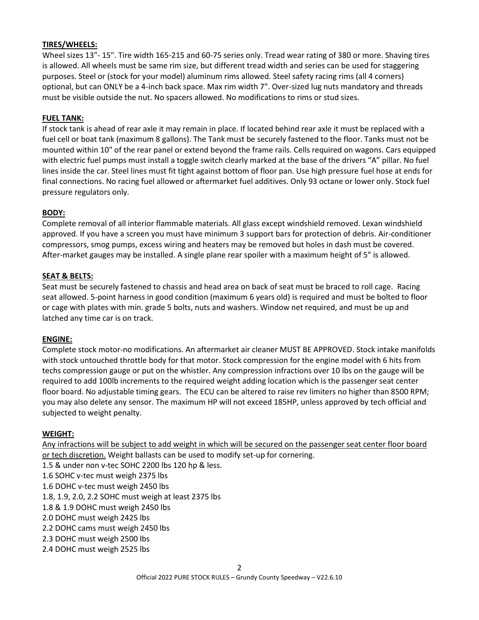#### **TIRES/WHEELS:**

Wheel sizes 13"- 15". Tire width 165-215 and 60-75 series only. Tread wear rating of 380 or more. Shaving tires is allowed. All wheels must be same rim size, but different tread width and series can be used for staggering purposes. Steel or (stock for your model) aluminum rims allowed. Steel safety racing rims (all 4 corners) optional, but can ONLY be a 4-inch back space. Max rim width 7". Over-sized lug nuts mandatory and threads must be visible outside the nut. No spacers allowed. No modifications to rims or stud sizes.

#### **FUEL TANK:**

If stock tank is ahead of rear axle it may remain in place. If located behind rear axle it must be replaced with a fuel cell or boat tank (maximum 8 gallons). The Tank must be securely fastened to the floor. Tanks must not be mounted within 10" of the rear panel or extend beyond the frame rails. Cells required on wagons. Cars equipped with electric fuel pumps must install a toggle switch clearly marked at the base of the drivers "A" pillar. No fuel lines inside the car. Steel lines must fit tight against bottom of floor pan. Use high pressure fuel hose at ends for final connections. No racing fuel allowed or aftermarket fuel additives. Only 93 octane or lower only. Stock fuel pressure regulators only.

#### **BODY:**

Complete removal of all interior flammable materials. All glass except windshield removed. Lexan windshield approved. If you have a screen you must have minimum 3 support bars for protection of debris. Air-conditioner compressors, smog pumps, excess wiring and heaters may be removed but holes in dash must be covered. After-market gauges may be installed. A single plane rear spoiler with a maximum height of 5" is allowed.

#### **SEAT & BELTS:**

Seat must be securely fastened to chassis and head area on back of seat must be braced to roll cage. Racing seat allowed. 5-point harness in good condition (maximum 6 years old) is required and must be bolted to floor or cage with plates with min. grade 5 bolts, nuts and washers. Window net required, and must be up and latched any time car is on track.

#### **ENGINE:**

Complete stock motor-no modifications. An aftermarket air cleaner MUST BE APPROVED. Stock intake manifolds with stock untouched throttle body for that motor. Stock compression for the engine model with 6 hits from techs compression gauge or put on the whistler. Any compression infractions over 10 lbs on the gauge will be required to add 100lb increments to the required weight adding location which is the passenger seat center floor board. No adjustable timing gears. The ECU can be altered to raise rev limiters no higher than 8500 RPM; you may also delete any sensor. The maximum HP will not exceed 185HP, unless approved by tech official and subjected to weight penalty.

#### **WEIGHT:**

Any infractions will be subject to add weight in which will be secured on the passenger seat center floor board or tech discretion. Weight ballasts can be used to modify set-up for cornering. 1.5 & under non v-tec SOHC 2200 lbs 120 hp & less. 1.6 SOHC v-tec must weigh 2375 lbs 1.6 DOHC v-tec must weigh 2450 lbs 1.8, 1.9, 2.0, 2.2 SOHC must weigh at least 2375 lbs 1.8 & 1.9 DOHC must weigh 2450 lbs 2.0 DOHC must weigh 2425 lbs 2.2 DOHC cams must weigh 2450 lbs 2.3 DOHC must weigh 2500 lbs 2.4 DOHC must weigh 2525 lbs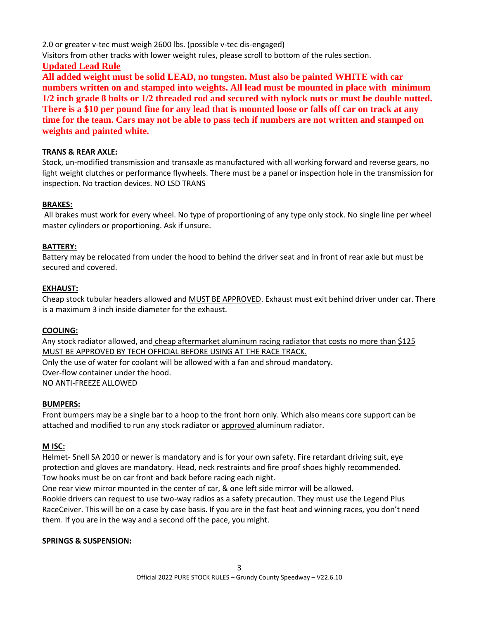2.0 or greater v-tec must weigh 2600 lbs. (possible v-tec dis-engaged)

Visitors from other tracks with lower weight rules, please scroll to bottom of the rules section.

# **Updated Lead Rule**

**All added weight must be solid LEAD, no tungsten. Must also be painted WHITE with car numbers written on and stamped into weights. All lead must be mounted in place with minimum 1/2 inch grade 8 bolts or 1/2 threaded rod and secured with nylock nuts or must be double nutted. There is a \$10 per pound fine for any lead that is mounted loose or falls off car on track at any time for the team. Cars may not be able to pass tech if numbers are not written and stamped on weights and painted white.**

# **TRANS & REAR AXLE:**

Stock, un-modified transmission and transaxle as manufactured with all working forward and reverse gears, no light weight clutches or performance flywheels. There must be a panel or inspection hole in the transmission for inspection. No traction devices. NO LSD TRANS

# **BRAKES:**

All brakes must work for every wheel. No type of proportioning of any type only stock. No single line per wheel master cylinders or proportioning. Ask if unsure.

# **BATTERY:**

Battery may be relocated from under the hood to behind the driver seat and in front of rear axle but must be secured and covered.

# **EXHAUST:**

Cheap stock tubular headers allowed and MUST BE APPROVED. Exhaust must exit behind driver under car. There is a maximum 3 inch inside diameter for the exhaust.

# **COOLING:**

Any stock radiator allowed, and cheap aftermarket aluminum racing radiator that costs no more than \$125 MUST BE APPROVED BY TECH OFFICIAL BEFORE USING AT THE RACE TRACK.

Only the use of water for coolant will be allowed with a fan and shroud mandatory. Over-flow container under the hood. NO ANTI-FREEZE ALLOWED

# **BUMPERS:**

Front bumpers may be a single bar to a hoop to the front horn only. Which also means core support can be attached and modified to run any stock radiator or approved aluminum radiator.

# **M ISC:**

Helmet- Snell SA 2010 or newer is mandatory and is for your own safety. Fire retardant driving suit, eye protection and gloves are mandatory. Head, neck restraints and fire proof shoes highly recommended. Tow hooks must be on car front and back before racing each night.

One rear view mirror mounted in the center of car, & one left side mirror will be allowed.

Rookie drivers can request to use two-way radios as a safety precaution. They must use the Legend Plus RaceCeiver. This will be on a case by case basis. If you are in the fast heat and winning races, you don't need them. If you are in the way and a second off the pace, you might.

# **SPRINGS & SUSPENSION:**